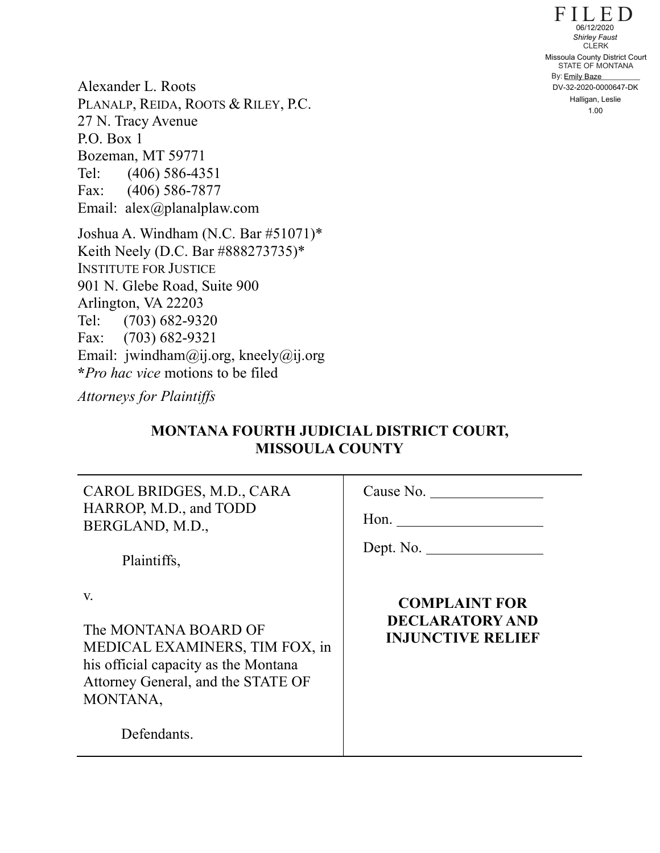$F I L E D$ STATE OF MONTANA By: **Emily Baze** CLERK 1.00 Missoula County District Court<br>
CLERK<br>
Missoula County District Court<br>
STATE OF MONTANA<br>
By: <u>Emily Baze</u><br>
DV-32-2020-0000647-DK<br>
Halligan, Leslie<br>
1.00

Alexander L. Roots PLANALP, REIDA, ROOTS & RILEY, P.C. 27 N. Tracy Avenue P.O. Box 1 Bozeman, MT 59771 Tel: (406) 586-4351 Fax: (406) 586-7877 Email: alex@planalplaw.com

Joshua A. Windham (N.C. Bar #51071)\* Keith Neely (D.C. Bar #888273735)\* INSTITUTE FOR JUSTICE 901 N. Glebe Road, Suite 900 Arlington, VA 22203 Tel: (703) 682-9320 Fax: (703) 682-9321 Email: jwindham@ij.org, kneely@ij.org **\****Pro hac vice* motions to be filed

*Attorneys for Plaintiffs*

# **MONTANA FOURTH JUDICIAL DISTRICT COURT, MISSOULA COUNTY**

CAROL BRIDGES, M.D., CARA HARROP, M.D., and TODD BERGLAND, M.D.,

Cause No.

Hon.

Dept. No.

Plaintiffs,

v.

The MONTANA BOARD OF MEDICAL EXAMINERS, TIM FOX, in his official capacity as the Montana Attorney General, and the STATE OF MONTANA,

Defendants.

# **COMPLAINT FOR DECLARATORY AND INJUNCTIVE RELIEF**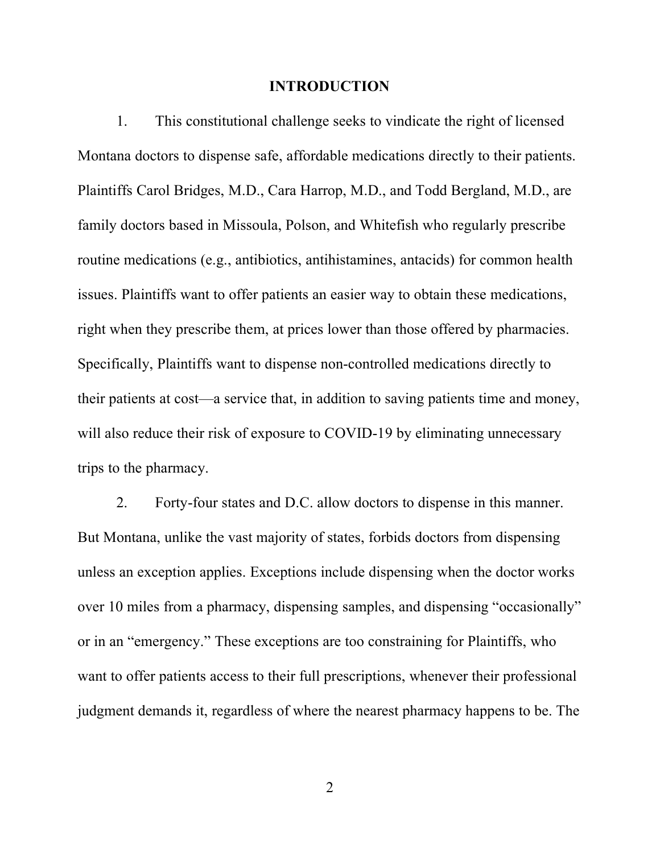#### **INTRODUCTION**

1. This constitutional challenge seeks to vindicate the right of licensed Montana doctors to dispense safe, affordable medications directly to their patients. Plaintiffs Carol Bridges, M.D., Cara Harrop, M.D., and Todd Bergland, M.D., are family doctors based in Missoula, Polson, and Whitefish who regularly prescribe routine medications (e.g., antibiotics, antihistamines, antacids) for common health issues. Plaintiffs want to offer patients an easier way to obtain these medications, right when they prescribe them, at prices lower than those offered by pharmacies. Specifically, Plaintiffs want to dispense non-controlled medications directly to their patients at cost—a service that, in addition to saving patients time and money, will also reduce their risk of exposure to COVID-19 by eliminating unnecessary trips to the pharmacy.

2. Forty-four states and D.C. allow doctors to dispense in this manner. But Montana, unlike the vast majority of states, forbids doctors from dispensing unless an exception applies. Exceptions include dispensing when the doctor works over 10 miles from a pharmacy, dispensing samples, and dispensing "occasionally" or in an "emergency." These exceptions are too constraining for Plaintiffs, who want to offer patients access to their full prescriptions, whenever their professional judgment demands it, regardless of where the nearest pharmacy happens to be. The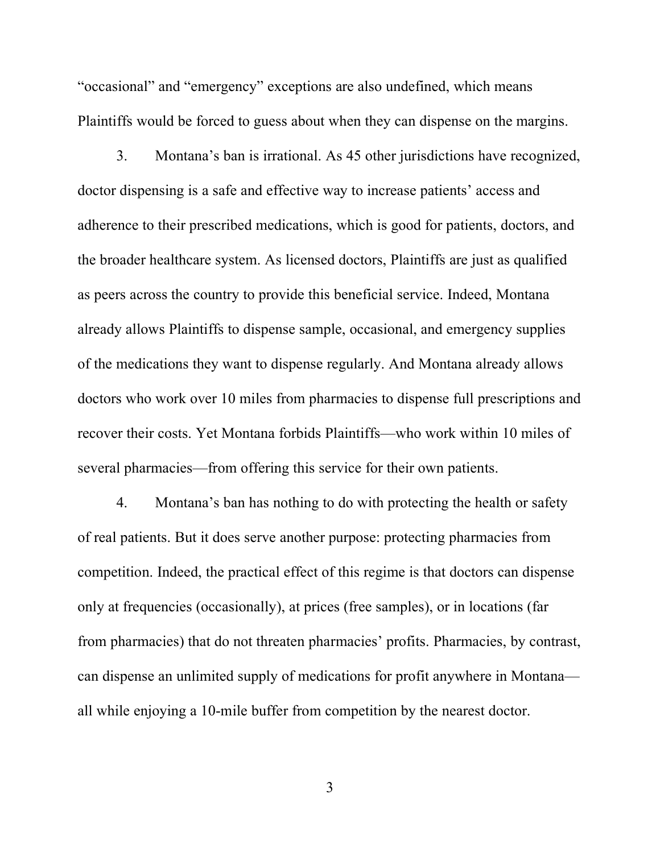"occasional" and "emergency" exceptions are also undefined, which means Plaintiffs would be forced to guess about when they can dispense on the margins.

3. Montana's ban is irrational. As 45 other jurisdictions have recognized, doctor dispensing is a safe and effective way to increase patients' access and adherence to their prescribed medications, which is good for patients, doctors, and the broader healthcare system. As licensed doctors, Plaintiffs are just as qualified as peers across the country to provide this beneficial service. Indeed, Montana already allows Plaintiffs to dispense sample, occasional, and emergency supplies of the medications they want to dispense regularly. And Montana already allows doctors who work over 10 miles from pharmacies to dispense full prescriptions and recover their costs. Yet Montana forbids Plaintiffs—who work within 10 miles of several pharmacies—from offering this service for their own patients.

4. Montana's ban has nothing to do with protecting the health or safety of real patients. But it does serve another purpose: protecting pharmacies from competition. Indeed, the practical effect of this regime is that doctors can dispense only at frequencies (occasionally), at prices (free samples), or in locations (far from pharmacies) that do not threaten pharmacies' profits. Pharmacies, by contrast, can dispense an unlimited supply of medications for profit anywhere in Montana all while enjoying a 10-mile buffer from competition by the nearest doctor.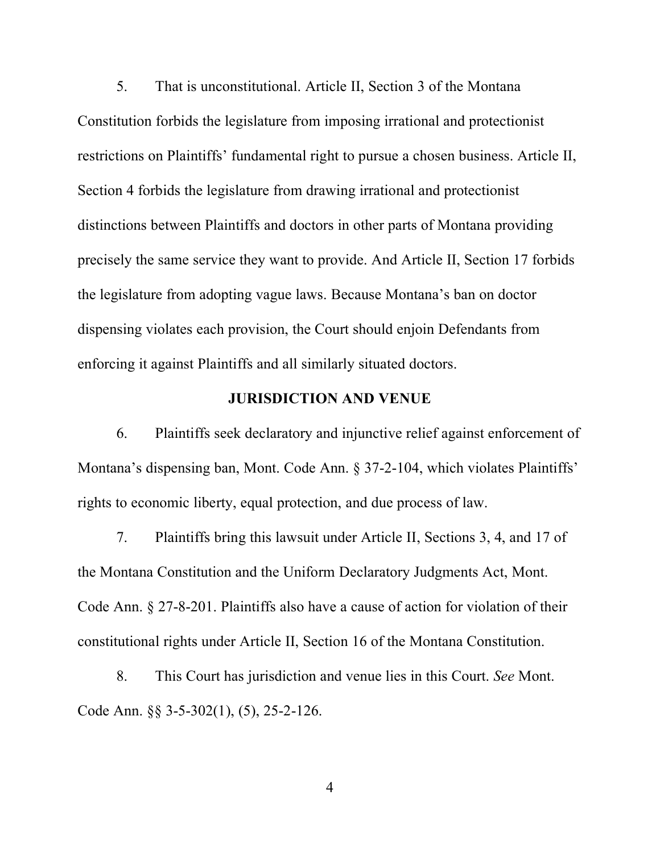5. That is unconstitutional. Article II, Section 3 of the Montana Constitution forbids the legislature from imposing irrational and protectionist restrictions on Plaintiffs' fundamental right to pursue a chosen business. Article II, Section 4 forbids the legislature from drawing irrational and protectionist distinctions between Plaintiffs and doctors in other parts of Montana providing precisely the same service they want to provide. And Article II, Section 17 forbids the legislature from adopting vague laws. Because Montana's ban on doctor dispensing violates each provision, the Court should enjoin Defendants from enforcing it against Plaintiffs and all similarly situated doctors.

### **JURISDICTION AND VENUE**

6. Plaintiffs seek declaratory and injunctive relief against enforcement of Montana's dispensing ban, Mont. Code Ann. § 37-2-104, which violates Plaintiffs' rights to economic liberty, equal protection, and due process of law.

7. Plaintiffs bring this lawsuit under Article II, Sections 3, 4, and 17 of the Montana Constitution and the Uniform Declaratory Judgments Act, Mont. Code Ann. § 27-8-201. Plaintiffs also have a cause of action for violation of their constitutional rights under Article II, Section 16 of the Montana Constitution.

8. This Court has jurisdiction and venue lies in this Court. *See* Mont. Code Ann. §§ 3-5-302(1), (5), 25-2-126.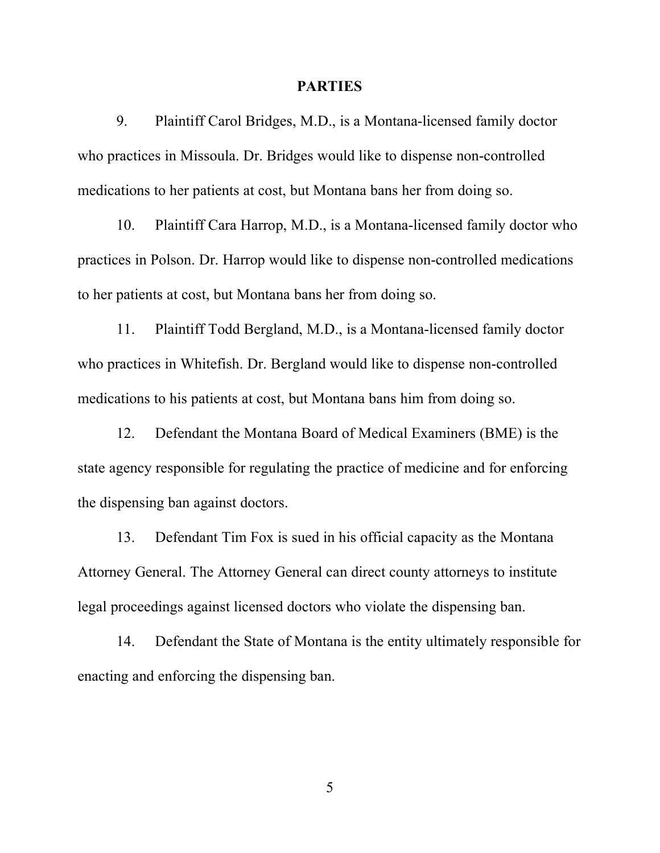#### **PARTIES**

9. Plaintiff Carol Bridges, M.D., is a Montana-licensed family doctor who practices in Missoula. Dr. Bridges would like to dispense non-controlled medications to her patients at cost, but Montana bans her from doing so.

10. Plaintiff Cara Harrop, M.D., is a Montana-licensed family doctor who practices in Polson. Dr. Harrop would like to dispense non-controlled medications to her patients at cost, but Montana bans her from doing so.

11. Plaintiff Todd Bergland, M.D., is a Montana-licensed family doctor who practices in Whitefish. Dr. Bergland would like to dispense non-controlled medications to his patients at cost, but Montana bans him from doing so.

12. Defendant the Montana Board of Medical Examiners (BME) is the state agency responsible for regulating the practice of medicine and for enforcing the dispensing ban against doctors.

13. Defendant Tim Fox is sued in his official capacity as the Montana Attorney General. The Attorney General can direct county attorneys to institute legal proceedings against licensed doctors who violate the dispensing ban.

14. Defendant the State of Montana is the entity ultimately responsible for enacting and enforcing the dispensing ban.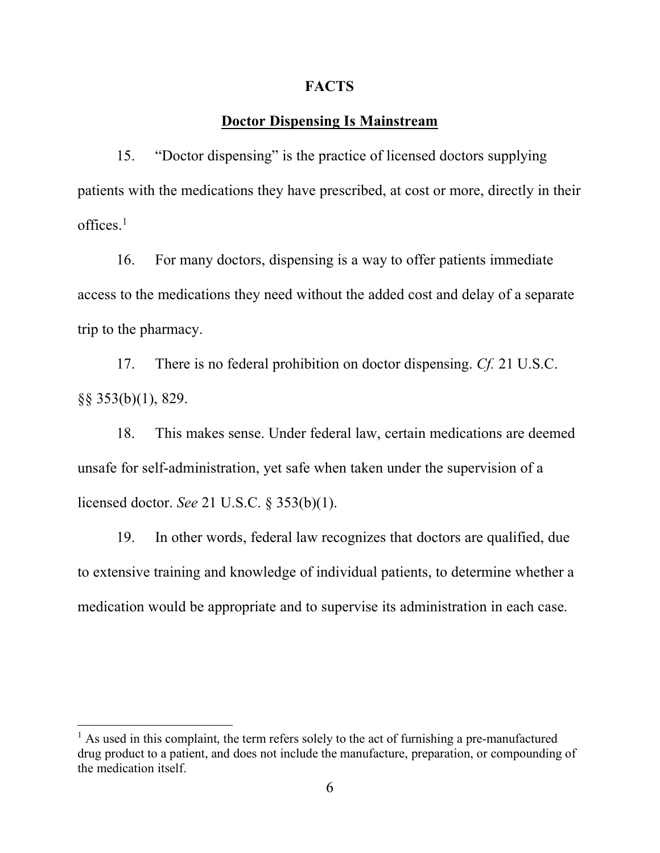#### **FACTS**

### **Doctor Dispensing Is Mainstream**

15. "Doctor dispensing" is the practice of licensed doctors supplying patients with the medications they have prescribed, at cost or more, directly in their offices.<sup>1</sup>

16. For many doctors, dispensing is a way to offer patients immediate access to the medications they need without the added cost and delay of a separate trip to the pharmacy.

17. There is no federal prohibition on doctor dispensing. *Cf.* 21 U.S.C. §§ 353(b)(1), 829.

18. This makes sense. Under federal law, certain medications are deemed unsafe for self-administration, yet safe when taken under the supervision of a licensed doctor. *See* 21 U.S.C. § 353(b)(1).

19. In other words, federal law recognizes that doctors are qualified, due to extensive training and knowledge of individual patients, to determine whether a medication would be appropriate and to supervise its administration in each case.

<sup>&</sup>lt;sup>1</sup> As used in this complaint, the term refers solely to the act of furnishing a pre-manufactured drug product to a patient, and does not include the manufacture, preparation, or compounding of the medication itself.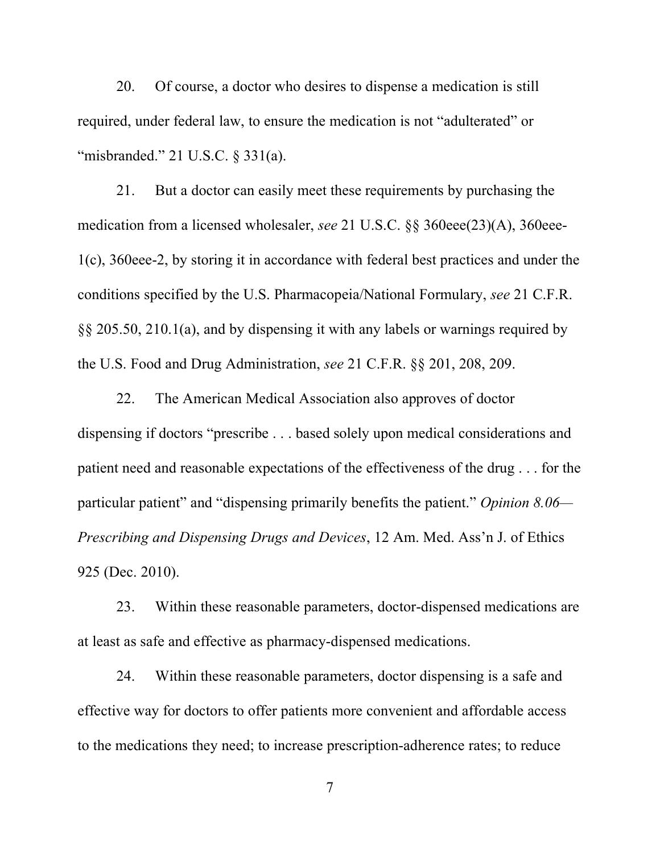20. Of course, a doctor who desires to dispense a medication is still required, under federal law, to ensure the medication is not "adulterated" or "misbranded." 21 U.S.C. § 331(a).

21. But a doctor can easily meet these requirements by purchasing the medication from a licensed wholesaler, *see* 21 U.S.C. §§ 360eee(23)(A), 360eee-1(c), 360eee-2, by storing it in accordance with federal best practices and under the conditions specified by the U.S. Pharmacopeia/National Formulary, *see* 21 C.F.R. §§ 205.50, 210.1(a), and by dispensing it with any labels or warnings required by the U.S. Food and Drug Administration, *see* 21 C.F.R. §§ 201, 208, 209.

22. The American Medical Association also approves of doctor dispensing if doctors "prescribe . . . based solely upon medical considerations and patient need and reasonable expectations of the effectiveness of the drug . . . for the particular patient" and "dispensing primarily benefits the patient." *Opinion 8.06— Prescribing and Dispensing Drugs and Devices*, 12 Am. Med. Ass'n J. of Ethics 925 (Dec. 2010).

23. Within these reasonable parameters, doctor-dispensed medications are at least as safe and effective as pharmacy-dispensed medications.

24. Within these reasonable parameters, doctor dispensing is a safe and effective way for doctors to offer patients more convenient and affordable access to the medications they need; to increase prescription-adherence rates; to reduce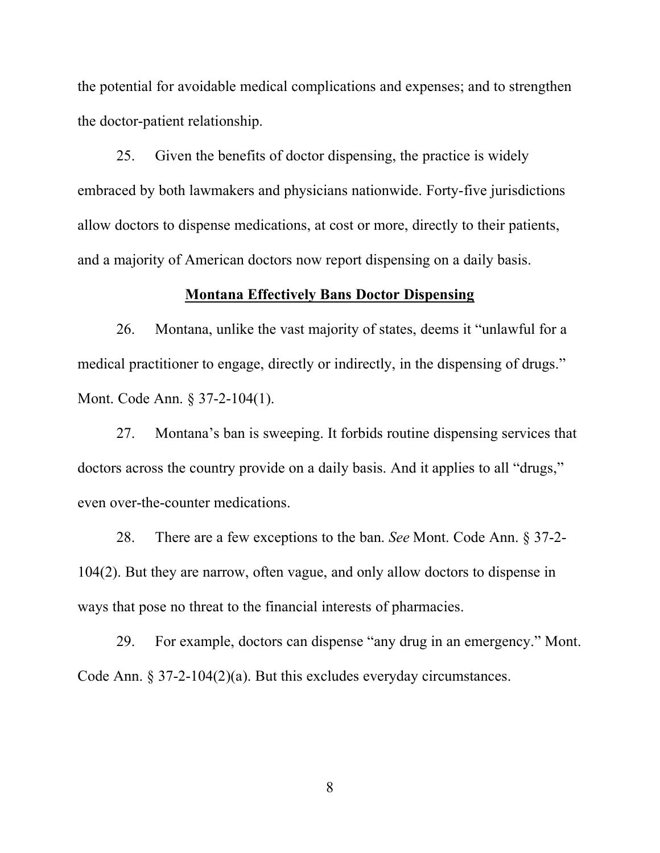the potential for avoidable medical complications and expenses; and to strengthen the doctor-patient relationship.

25. Given the benefits of doctor dispensing, the practice is widely embraced by both lawmakers and physicians nationwide. Forty-five jurisdictions allow doctors to dispense medications, at cost or more, directly to their patients, and a majority of American doctors now report dispensing on a daily basis.

#### **Montana Effectively Bans Doctor Dispensing**

26. Montana, unlike the vast majority of states, deems it "unlawful for a medical practitioner to engage, directly or indirectly, in the dispensing of drugs." Mont. Code Ann. § 37-2-104(1).

27. Montana's ban is sweeping. It forbids routine dispensing services that doctors across the country provide on a daily basis. And it applies to all "drugs," even over-the-counter medications.

28. There are a few exceptions to the ban. *See* Mont. Code Ann. § 37-2- 104(2). But they are narrow, often vague, and only allow doctors to dispense in ways that pose no threat to the financial interests of pharmacies.

29. For example, doctors can dispense "any drug in an emergency." Mont. Code Ann. § 37-2-104(2)(a). But this excludes everyday circumstances.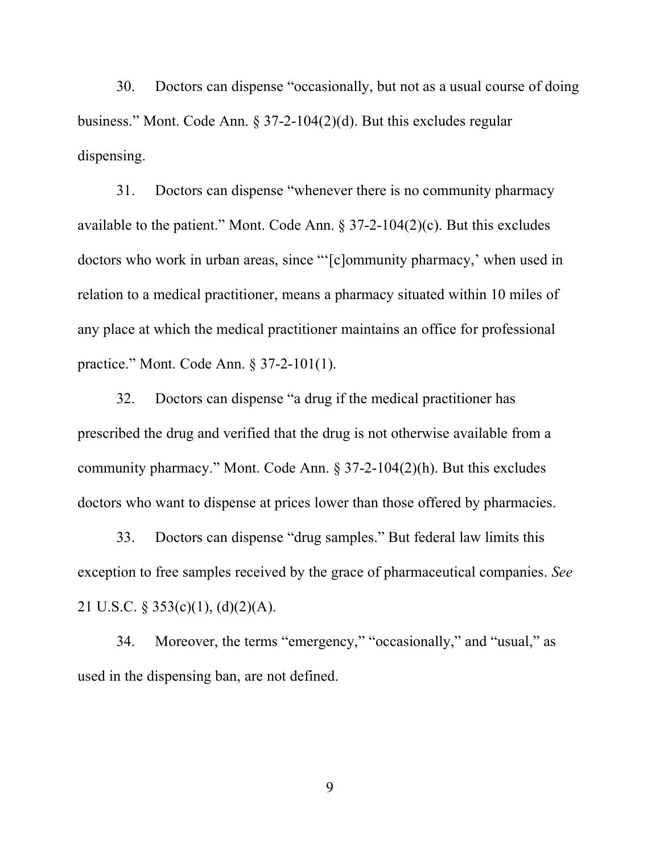30. Doctors can dispense "occasionally, but not as a usual course of doing business." Mont. Code Ann. § 37-2-104(2)(d). But this excludes regular dispensing.

31. Doctors can dispense "whenever there is no community pharmacy available to the patient." Mont. Code Ann.  $\S 37-2-104(2)(c)$ . But this excludes doctors who work in urban areas, since "'[c]ommunity pharmacy,' when used in relation to a medical practitioner, means a pharmacy situated within 10 miles of any place at which the medical practitioner maintains an office for professional practice." Mont. Code Ann. § 37-2-101(1).

32. Doctors can dispense "a drug if the medical practitioner has prescribed the drug and verified that the drug is not otherwise available from a community pharmacy." Mont. Code Ann. § 37-2-104(2)(h). But this excludes doctors who want to dispense at prices lower than those offered by pharmacies.

33. Doctors can dispense "drug samples." But federal law limits this exception to free samples received by the grace of pharmaceutical companies. *See*  21 U.S.C. § 353(c)(1), (d)(2)(A).

34. Moreover, the terms "emergency," "occasionally," and "usual," as used in the dispensing ban, are not defined.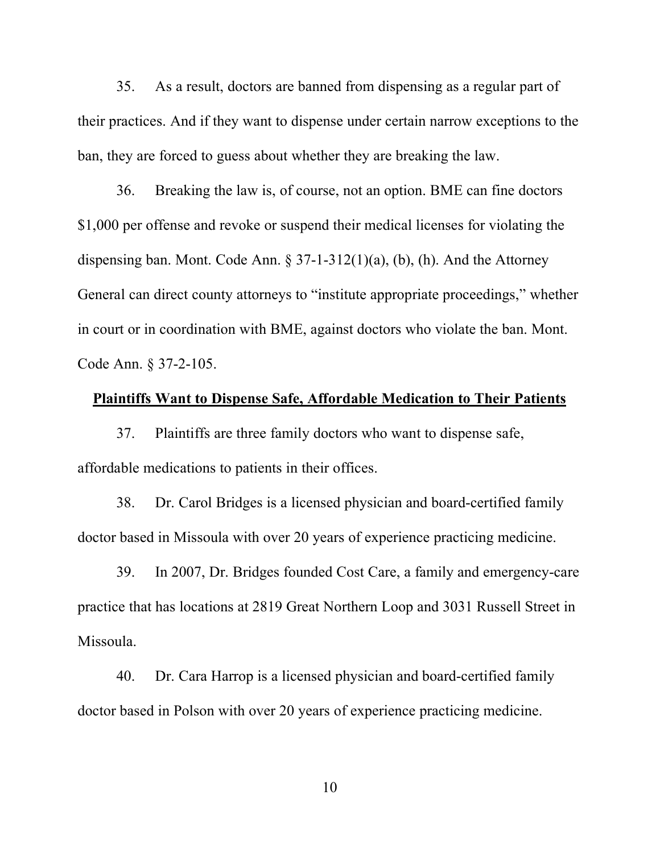35. As a result, doctors are banned from dispensing as a regular part of their practices. And if they want to dispense under certain narrow exceptions to the ban, they are forced to guess about whether they are breaking the law.

36. Breaking the law is, of course, not an option. BME can fine doctors \$1,000 per offense and revoke or suspend their medical licenses for violating the dispensing ban. Mont. Code Ann. § 37-1-312(1)(a), (b), (h). And the Attorney General can direct county attorneys to "institute appropriate proceedings," whether in court or in coordination with BME, against doctors who violate the ban. Mont. Code Ann. § 37-2-105.

#### **Plaintiffs Want to Dispense Safe, Affordable Medication to Their Patients**

37. Plaintiffs are three family doctors who want to dispense safe, affordable medications to patients in their offices.

38. Dr. Carol Bridges is a licensed physician and board-certified family doctor based in Missoula with over 20 years of experience practicing medicine.

39. In 2007, Dr. Bridges founded Cost Care, a family and emergency-care practice that has locations at 2819 Great Northern Loop and 3031 Russell Street in Missoula.

40. Dr. Cara Harrop is a licensed physician and board-certified family doctor based in Polson with over 20 years of experience practicing medicine.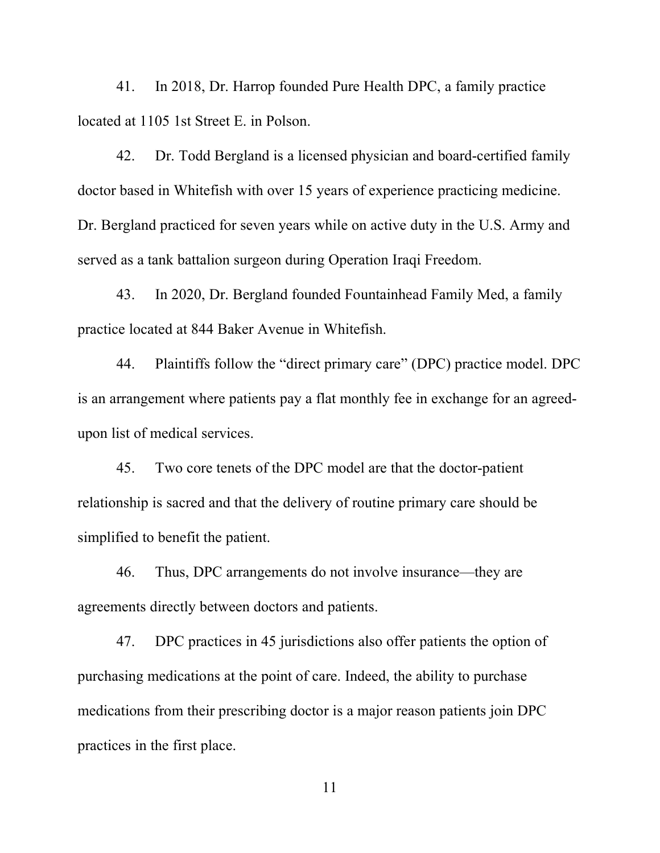41. In 2018, Dr. Harrop founded Pure Health DPC, a family practice located at 1105 1st Street E. in Polson.

42. Dr. Todd Bergland is a licensed physician and board-certified family doctor based in Whitefish with over 15 years of experience practicing medicine. Dr. Bergland practiced for seven years while on active duty in the U.S. Army and served as a tank battalion surgeon during Operation Iraqi Freedom.

43. In 2020, Dr. Bergland founded Fountainhead Family Med, a family practice located at 844 Baker Avenue in Whitefish.

44. Plaintiffs follow the "direct primary care" (DPC) practice model. DPC is an arrangement where patients pay a flat monthly fee in exchange for an agreedupon list of medical services.

45. Two core tenets of the DPC model are that the doctor-patient relationship is sacred and that the delivery of routine primary care should be simplified to benefit the patient.

46. Thus, DPC arrangements do not involve insurance—they are agreements directly between doctors and patients.

47. DPC practices in 45 jurisdictions also offer patients the option of purchasing medications at the point of care. Indeed, the ability to purchase medications from their prescribing doctor is a major reason patients join DPC practices in the first place.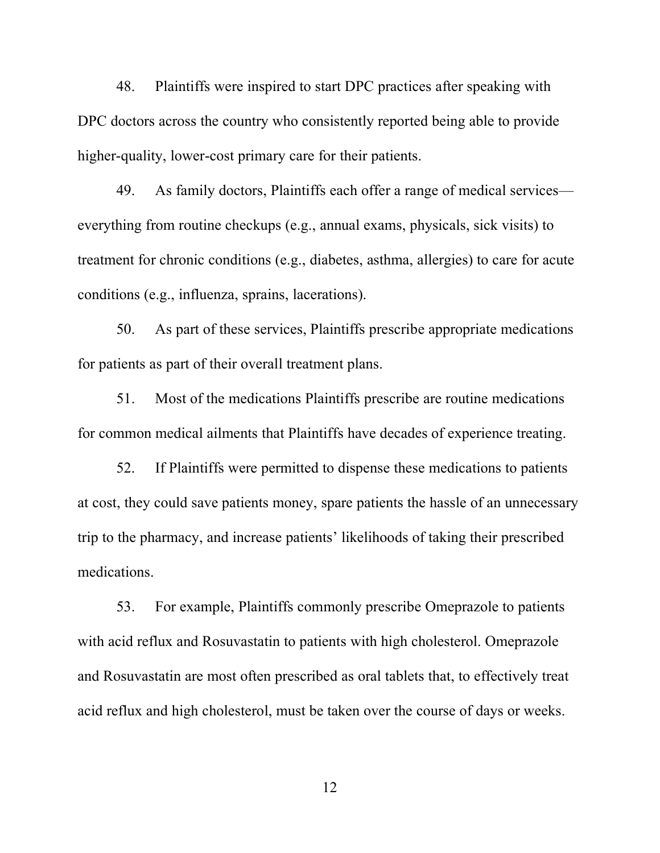48. Plaintiffs were inspired to start DPC practices after speaking with DPC doctors across the country who consistently reported being able to provide higher-quality, lower-cost primary care for their patients.

49. As family doctors, Plaintiffs each offer a range of medical services everything from routine checkups (e.g., annual exams, physicals, sick visits) to treatment for chronic conditions (e.g., diabetes, asthma, allergies) to care for acute conditions (e.g., influenza, sprains, lacerations).

50. As part of these services, Plaintiffs prescribe appropriate medications for patients as part of their overall treatment plans.

51. Most of the medications Plaintiffs prescribe are routine medications for common medical ailments that Plaintiffs have decades of experience treating.

52. If Plaintiffs were permitted to dispense these medications to patients at cost, they could save patients money, spare patients the hassle of an unnecessary trip to the pharmacy, and increase patients' likelihoods of taking their prescribed medications.

53. For example, Plaintiffs commonly prescribe Omeprazole to patients with acid reflux and Rosuvastatin to patients with high cholesterol. Omeprazole and Rosuvastatin are most often prescribed as oral tablets that, to effectively treat acid reflux and high cholesterol, must be taken over the course of days or weeks.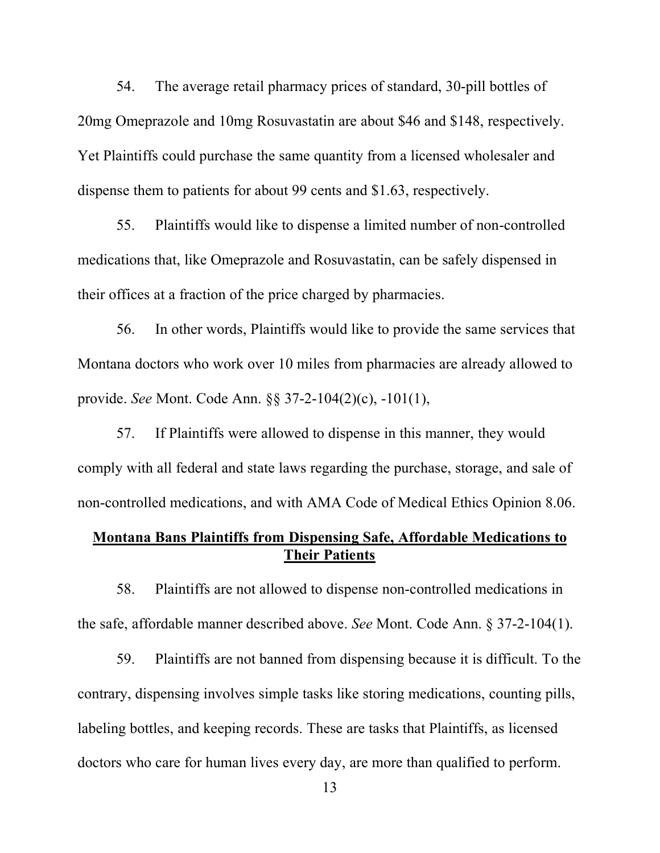54. The average retail pharmacy prices of standard, 30-pill bottles of 20mg Omeprazole and 10mg Rosuvastatin are about \$46 and \$148, respectively. Yet Plaintiffs could purchase the same quantity from a licensed wholesaler and dispense them to patients for about 99 cents and \$1.63, respectively.

55. Plaintiffs would like to dispense a limited number of non-controlled medications that, like Omeprazole and Rosuvastatin, can be safely dispensed in their offices at a fraction of the price charged by pharmacies.

56. In other words, Plaintiffs would like to provide the same services that Montana doctors who work over 10 miles from pharmacies are already allowed to provide. *See* Mont. Code Ann. §§ 37-2-104(2)(c), -101(1),

57. If Plaintiffs were allowed to dispense in this manner, they would comply with all federal and state laws regarding the purchase, storage, and sale of non-controlled medications, and with AMA Code of Medical Ethics Opinion 8.06.

## **Montana Bans Plaintiffs from Dispensing Safe, Affordable Medications to Their Patients**

58. Plaintiffs are not allowed to dispense non-controlled medications in the safe, affordable manner described above. *See* Mont. Code Ann. § 37-2-104(1).

59. Plaintiffs are not banned from dispensing because it is difficult. To the contrary, dispensing involves simple tasks like storing medications, counting pills, labeling bottles, and keeping records. These are tasks that Plaintiffs, as licensed doctors who care for human lives every day, are more than qualified to perform.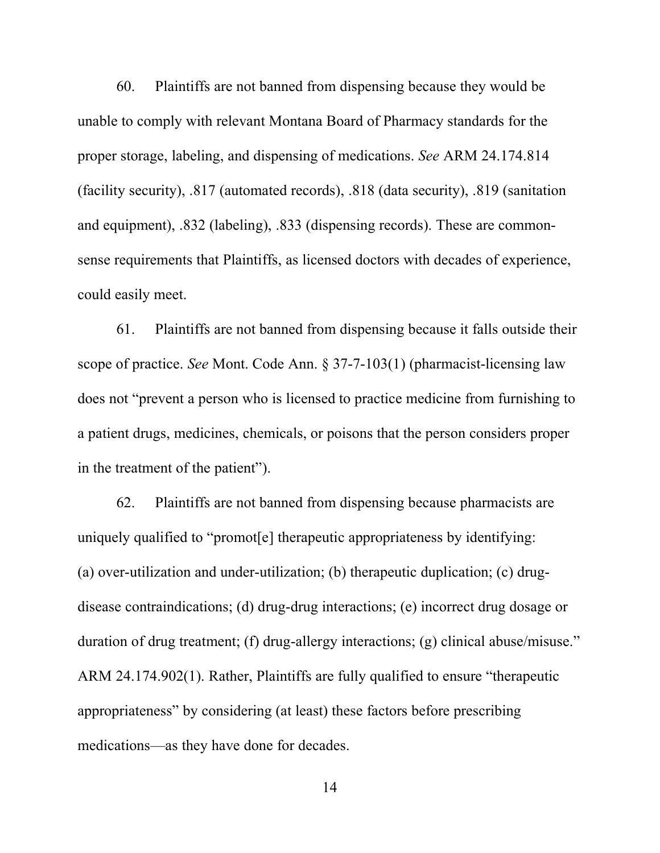60. Plaintiffs are not banned from dispensing because they would be unable to comply with relevant Montana Board of Pharmacy standards for the proper storage, labeling, and dispensing of medications. *See* ARM 24.174.814 (facility security), .817 (automated records), .818 (data security), .819 (sanitation and equipment), .832 (labeling), .833 (dispensing records). These are commonsense requirements that Plaintiffs, as licensed doctors with decades of experience, could easily meet.

61. Plaintiffs are not banned from dispensing because it falls outside their scope of practice. *See* Mont. Code Ann. § 37-7-103(1) (pharmacist-licensing law does not "prevent a person who is licensed to practice medicine from furnishing to a patient drugs, medicines, chemicals, or poisons that the person considers proper in the treatment of the patient").

62. Plaintiffs are not banned from dispensing because pharmacists are uniquely qualified to "promot[e] therapeutic appropriateness by identifying: (a) over-utilization and under-utilization; (b) therapeutic duplication; (c) drugdisease contraindications; (d) drug-drug interactions; (e) incorrect drug dosage or duration of drug treatment; (f) drug-allergy interactions; (g) clinical abuse/misuse." ARM 24.174.902(1). Rather, Plaintiffs are fully qualified to ensure "therapeutic appropriateness" by considering (at least) these factors before prescribing medications—as they have done for decades.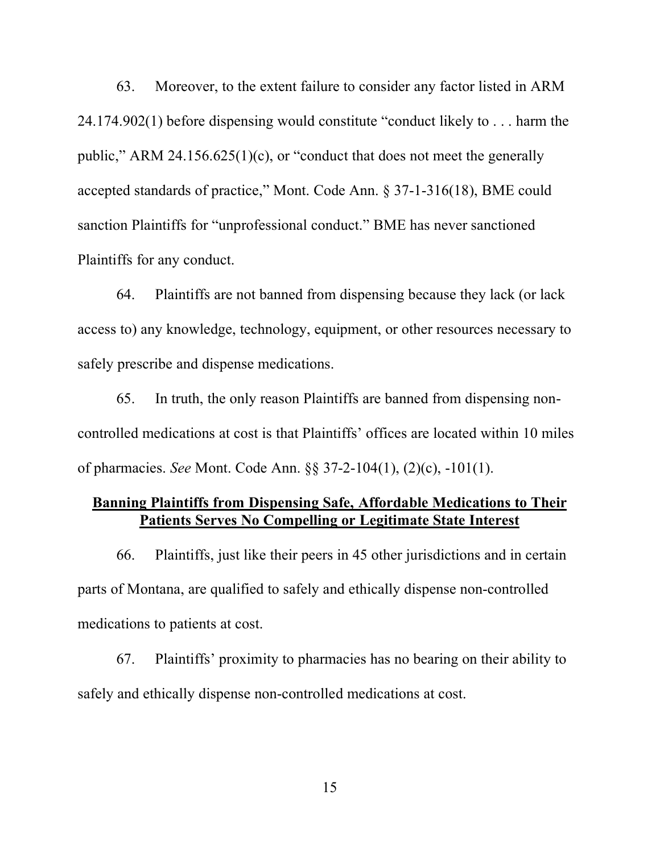63. Moreover, to the extent failure to consider any factor listed in ARM 24.174.902(1) before dispensing would constitute "conduct likely to . . . harm the public," ARM 24.156.625(1)(c), or "conduct that does not meet the generally accepted standards of practice," Mont. Code Ann. § 37-1-316(18), BME could sanction Plaintiffs for "unprofessional conduct." BME has never sanctioned Plaintiffs for any conduct.

64. Plaintiffs are not banned from dispensing because they lack (or lack access to) any knowledge, technology, equipment, or other resources necessary to safely prescribe and dispense medications.

65. In truth, the only reason Plaintiffs are banned from dispensing noncontrolled medications at cost is that Plaintiffs' offices are located within 10 miles of pharmacies. *See* Mont. Code Ann. §§ 37-2-104(1), (2)(c), -101(1).

## **Banning Plaintiffs from Dispensing Safe, Affordable Medications to Their Patients Serves No Compelling or Legitimate State Interest**

66. Plaintiffs, just like their peers in 45 other jurisdictions and in certain parts of Montana, are qualified to safely and ethically dispense non-controlled medications to patients at cost.

67. Plaintiffs' proximity to pharmacies has no bearing on their ability to safely and ethically dispense non-controlled medications at cost.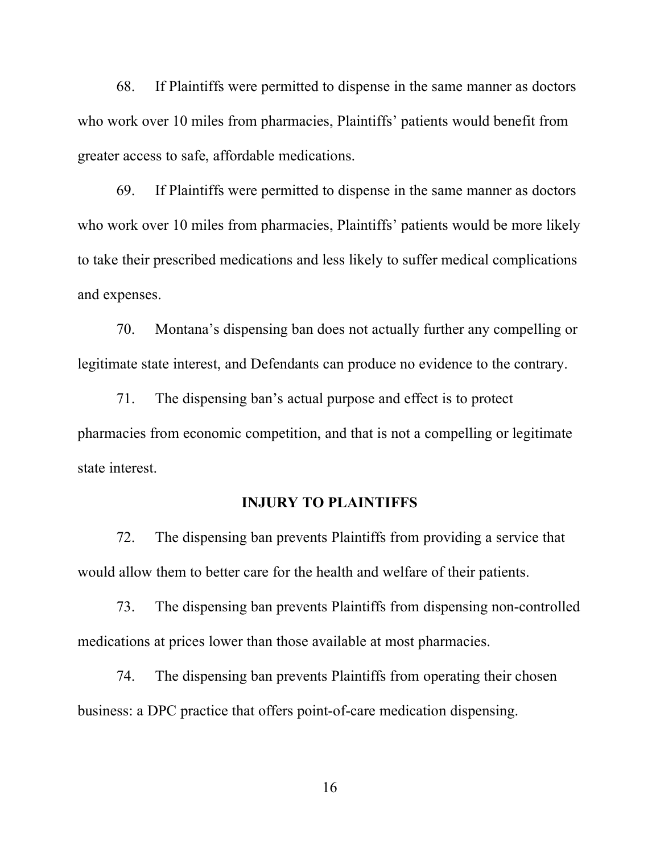68. If Plaintiffs were permitted to dispense in the same manner as doctors who work over 10 miles from pharmacies, Plaintiffs' patients would benefit from greater access to safe, affordable medications.

69. If Plaintiffs were permitted to dispense in the same manner as doctors who work over 10 miles from pharmacies, Plaintiffs' patients would be more likely to take their prescribed medications and less likely to suffer medical complications and expenses.

70. Montana's dispensing ban does not actually further any compelling or legitimate state interest, and Defendants can produce no evidence to the contrary.

71. The dispensing ban's actual purpose and effect is to protect pharmacies from economic competition, and that is not a compelling or legitimate state interest.

### **INJURY TO PLAINTIFFS**

72. The dispensing ban prevents Plaintiffs from providing a service that would allow them to better care for the health and welfare of their patients.

73. The dispensing ban prevents Plaintiffs from dispensing non-controlled medications at prices lower than those available at most pharmacies.

74. The dispensing ban prevents Plaintiffs from operating their chosen business: a DPC practice that offers point-of-care medication dispensing.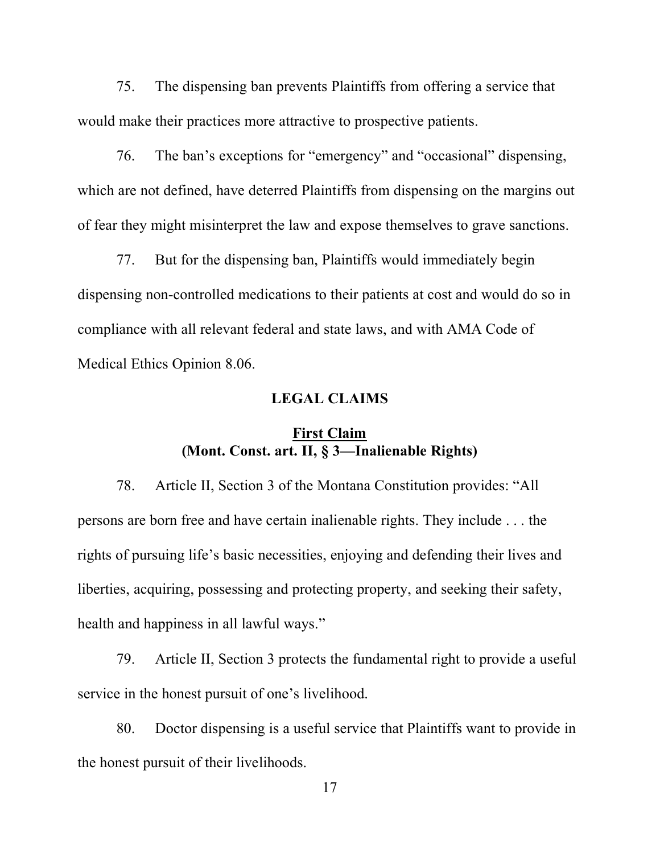75. The dispensing ban prevents Plaintiffs from offering a service that would make their practices more attractive to prospective patients.

76. The ban's exceptions for "emergency" and "occasional" dispensing, which are not defined, have deterred Plaintiffs from dispensing on the margins out of fear they might misinterpret the law and expose themselves to grave sanctions.

77. But for the dispensing ban, Plaintiffs would immediately begin dispensing non-controlled medications to their patients at cost and would do so in compliance with all relevant federal and state laws, and with AMA Code of Medical Ethics Opinion 8.06.

### **LEGAL CLAIMS**

### **First Claim (Mont. Const. art. II, § 3—Inalienable Rights)**

78. Article II, Section 3 of the Montana Constitution provides: "All persons are born free and have certain inalienable rights. They include . . . the rights of pursuing life's basic necessities, enjoying and defending their lives and liberties, acquiring, possessing and protecting property, and seeking their safety, health and happiness in all lawful ways."

79. Article II, Section 3 protects the fundamental right to provide a useful service in the honest pursuit of one's livelihood.

80. Doctor dispensing is a useful service that Plaintiffs want to provide in the honest pursuit of their livelihoods.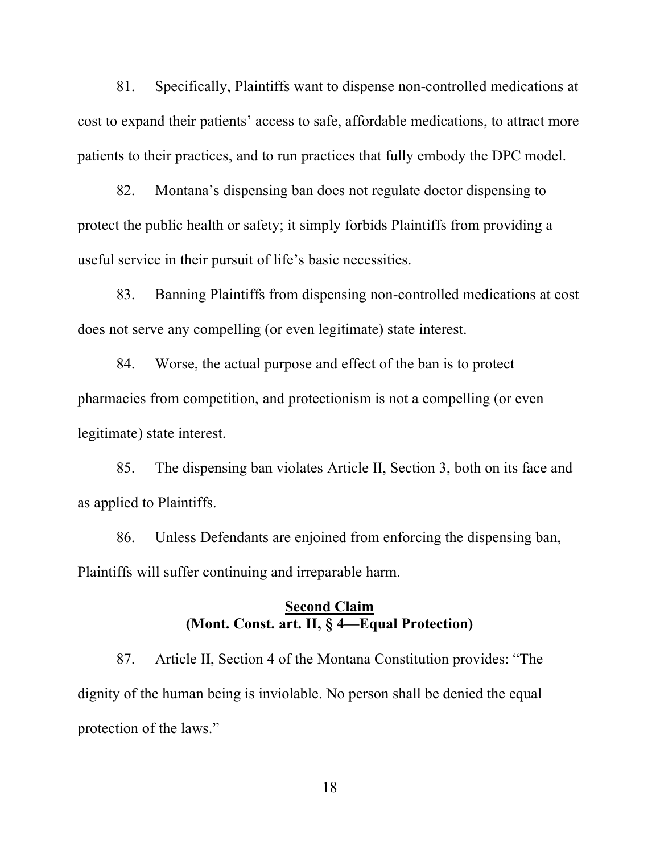81. Specifically, Plaintiffs want to dispense non-controlled medications at cost to expand their patients' access to safe, affordable medications, to attract more patients to their practices, and to run practices that fully embody the DPC model.

82. Montana's dispensing ban does not regulate doctor dispensing to protect the public health or safety; it simply forbids Plaintiffs from providing a useful service in their pursuit of life's basic necessities.

83. Banning Plaintiffs from dispensing non-controlled medications at cost does not serve any compelling (or even legitimate) state interest.

84. Worse, the actual purpose and effect of the ban is to protect pharmacies from competition, and protectionism is not a compelling (or even legitimate) state interest.

85. The dispensing ban violates Article II, Section 3, both on its face and as applied to Plaintiffs.

86. Unless Defendants are enjoined from enforcing the dispensing ban, Plaintiffs will suffer continuing and irreparable harm.

### **Second Claim (Mont. Const. art. II, § 4—Equal Protection)**

87. Article II, Section 4 of the Montana Constitution provides: "The dignity of the human being is inviolable. No person shall be denied the equal protection of the laws."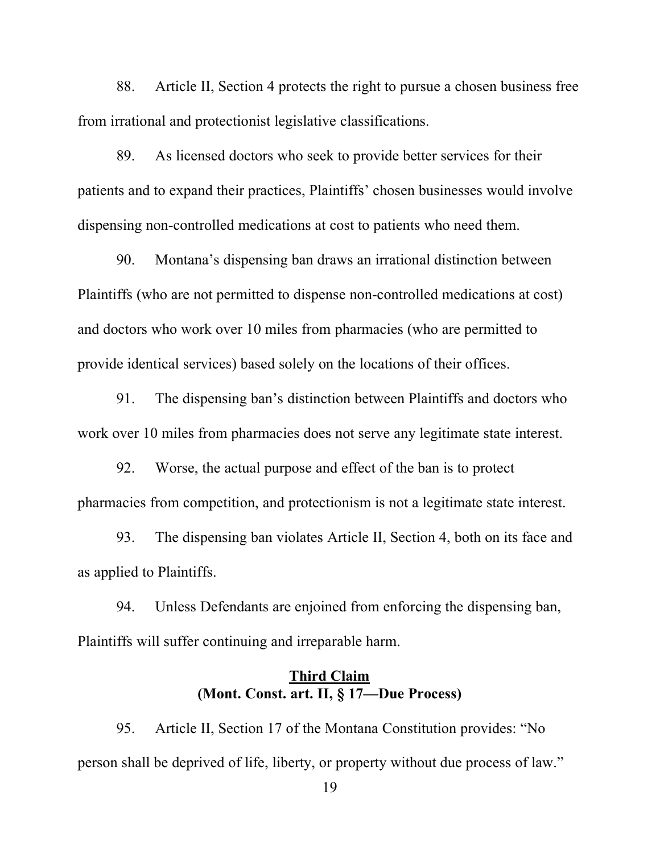88. Article II, Section 4 protects the right to pursue a chosen business free from irrational and protectionist legislative classifications.

89. As licensed doctors who seek to provide better services for their patients and to expand their practices, Plaintiffs' chosen businesses would involve dispensing non-controlled medications at cost to patients who need them.

90. Montana's dispensing ban draws an irrational distinction between Plaintiffs (who are not permitted to dispense non-controlled medications at cost) and doctors who work over 10 miles from pharmacies (who are permitted to provide identical services) based solely on the locations of their offices.

91. The dispensing ban's distinction between Plaintiffs and doctors who work over 10 miles from pharmacies does not serve any legitimate state interest.

92. Worse, the actual purpose and effect of the ban is to protect pharmacies from competition, and protectionism is not a legitimate state interest.

93. The dispensing ban violates Article II, Section 4, both on its face and as applied to Plaintiffs.

94. Unless Defendants are enjoined from enforcing the dispensing ban, Plaintiffs will suffer continuing and irreparable harm.

## **Third Claim (Mont. Const. art. II, § 17—Due Process)**

95. Article II, Section 17 of the Montana Constitution provides: "No person shall be deprived of life, liberty, or property without due process of law."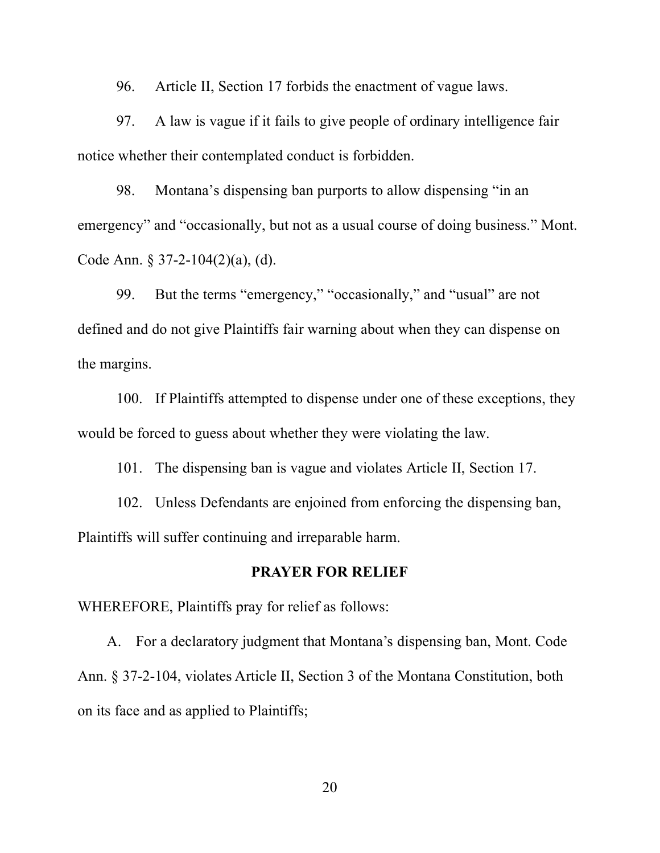96. Article II, Section 17 forbids the enactment of vague laws.

97. A law is vague if it fails to give people of ordinary intelligence fair notice whether their contemplated conduct is forbidden.

98. Montana's dispensing ban purports to allow dispensing "in an emergency" and "occasionally, but not as a usual course of doing business." Mont. Code Ann. § 37-2-104(2)(a), (d).

99. But the terms "emergency," "occasionally," and "usual" are not defined and do not give Plaintiffs fair warning about when they can dispense on the margins.

100. If Plaintiffs attempted to dispense under one of these exceptions, they would be forced to guess about whether they were violating the law.

101. The dispensing ban is vague and violates Article II, Section 17.

102. Unless Defendants are enjoined from enforcing the dispensing ban, Plaintiffs will suffer continuing and irreparable harm.

### **PRAYER FOR RELIEF**

WHEREFORE, Plaintiffs pray for relief as follows:

A. For a declaratory judgment that Montana's dispensing ban, Mont. Code Ann. § 37-2-104, violates Article II, Section 3 of the Montana Constitution, both on its face and as applied to Plaintiffs;